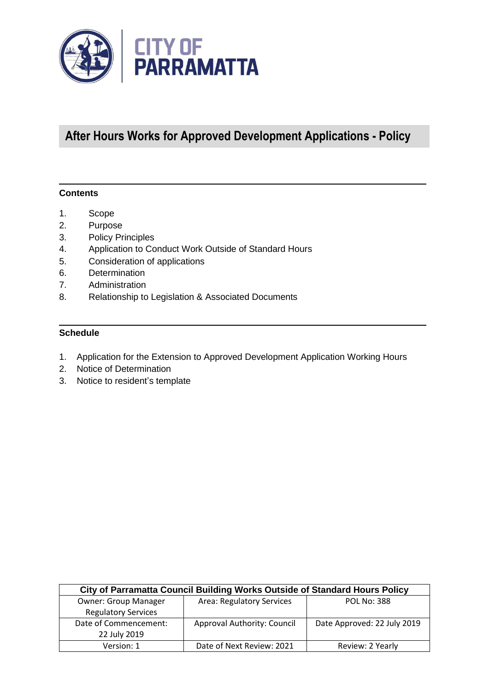

# **After Hours Works for Approved Development Applications - Policy**

#### **Contents**

- 1. Scope
- 2. Purpose
- 3. Policy Principles
- 4. Application to Conduct Work Outside of Standard Hours
- 5. Consideration of applications
- 6. Determination
- 7. Administration
- 8. Relationship to Legislation & Associated Documents

#### **Schedule**

- 1. Application for the Extension to Approved Development Application Working Hours
- 2. Notice of Determination
- 3. Notice to resident's template

| City of Parramatta Council Building Works Outside of Standard Hours Policy |                                  |                             |  |
|----------------------------------------------------------------------------|----------------------------------|-----------------------------|--|
| <b>Owner: Group Manager</b>                                                | <b>Area: Regulatory Services</b> | <b>POL No: 388</b>          |  |
| <b>Regulatory Services</b>                                                 |                                  |                             |  |
| Date of Commencement:                                                      | Approval Authority: Council      | Date Approved: 22 July 2019 |  |
| 22 July 2019                                                               |                                  |                             |  |
| Version: 1                                                                 | Date of Next Review: 2021        | Review: 2 Yearly            |  |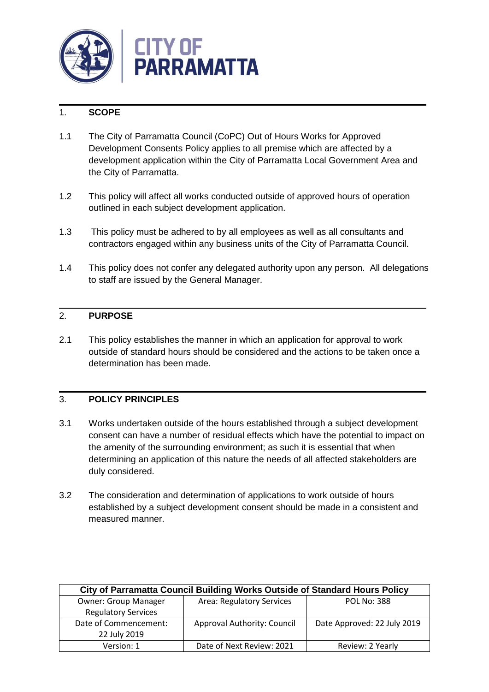

# 1. **SCOPE**

- 1.1 The City of Parramatta Council (CoPC) Out of Hours Works for Approved Development Consents Policy applies to all premise which are affected by a development application within the City of Parramatta Local Government Area and the City of Parramatta.
- 1.2 This policy will affect all works conducted outside of approved hours of operation outlined in each subject development application.
- 1.3 This policy must be adhered to by all employees as well as all consultants and contractors engaged within any business units of the City of Parramatta Council.
- 1.4 This policy does not confer any delegated authority upon any person. All delegations to staff are issued by the General Manager.

## 2. **PURPOSE**

2.1 This policy establishes the manner in which an application for approval to work outside of standard hours should be considered and the actions to be taken once a determination has been made.

## 3. **POLICY PRINCIPLES**

- 3.1 Works undertaken outside of the hours established through a subject development consent can have a number of residual effects which have the potential to impact on the amenity of the surrounding environment; as such it is essential that when determining an application of this nature the needs of all affected stakeholders are duly considered.
- 3.2 The consideration and determination of applications to work outside of hours established by a subject development consent should be made in a consistent and measured manner.

| City of Parramatta Council Building Works Outside of Standard Hours Policy |                                    |                             |  |
|----------------------------------------------------------------------------|------------------------------------|-----------------------------|--|
| <b>Owner: Group Manager</b>                                                | <b>Area: Regulatory Services</b>   | <b>POL No: 388</b>          |  |
| <b>Regulatory Services</b>                                                 |                                    |                             |  |
| Date of Commencement:                                                      | <b>Approval Authority: Council</b> | Date Approved: 22 July 2019 |  |
| 22 July 2019                                                               |                                    |                             |  |
| Version: 1                                                                 | Date of Next Review: 2021          | Review: 2 Yearly            |  |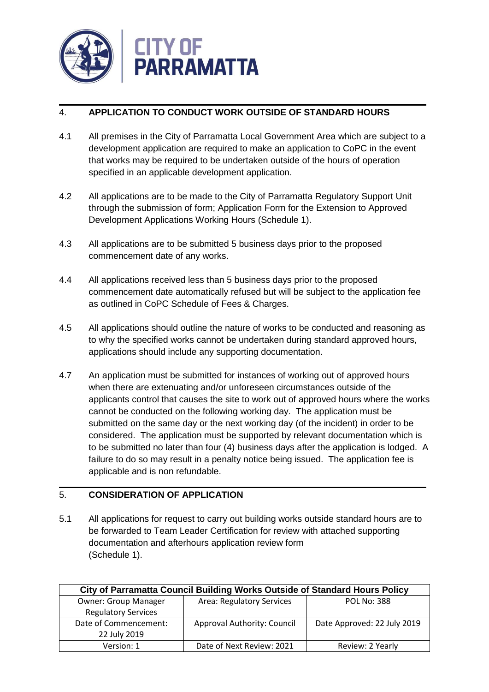

# 4. **APPLICATION TO CONDUCT WORK OUTSIDE OF STANDARD HOURS**

- 4.1 All premises in the City of Parramatta Local Government Area which are subject to a development application are required to make an application to CoPC in the event that works may be required to be undertaken outside of the hours of operation specified in an applicable development application.
- 4.2 All applications are to be made to the City of Parramatta Regulatory Support Unit through the submission of form; Application Form for the Extension to Approved Development Applications Working Hours (Schedule 1).
- 4.3 All applications are to be submitted 5 business days prior to the proposed commencement date of any works.
- 4.4 All applications received less than 5 business days prior to the proposed commencement date automatically refused but will be subject to the application fee as outlined in CoPC Schedule of Fees & Charges.
- 4.5 All applications should outline the nature of works to be conducted and reasoning as to why the specified works cannot be undertaken during standard approved hours, applications should include any supporting documentation.
- 4.7 An application must be submitted for instances of working out of approved hours when there are extenuating and/or unforeseen circumstances outside of the applicants control that causes the site to work out of approved hours where the works cannot be conducted on the following working day. The application must be submitted on the same day or the next working day (of the incident) in order to be considered. The application must be supported by relevant documentation which is to be submitted no later than four (4) business days after the application is lodged. A failure to do so may result in a penalty notice being issued. The application fee is applicable and is non refundable.

## 5. **CONSIDERATION OF APPLICATION**

5.1 All applications for request to carry out building works outside standard hours are to be forwarded to Team Leader Certification for review with attached supporting documentation and afterhours application review form (Schedule 1).

| City of Parramatta Council Building Works Outside of Standard Hours Policy |                             |                             |  |
|----------------------------------------------------------------------------|-----------------------------|-----------------------------|--|
| <b>Owner: Group Manager</b>                                                | Area: Regulatory Services   | <b>POL No: 388</b>          |  |
| <b>Regulatory Services</b>                                                 |                             |                             |  |
| Date of Commencement:                                                      | Approval Authority: Council | Date Approved: 22 July 2019 |  |
| 22 July 2019                                                               |                             |                             |  |
| Version: 1                                                                 | Date of Next Review: 2021   | Review: 2 Yearly            |  |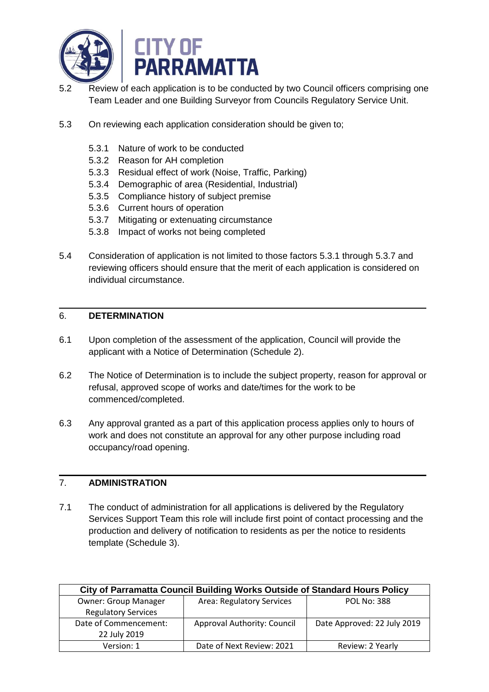

- 5.2 Review of each application is to be conducted by two Council officers comprising one Team Leader and one Building Surveyor from Councils Regulatory Service Unit.
- 5.3 On reviewing each application consideration should be given to;
	- 5.3.1 Nature of work to be conducted
	- 5.3.2 Reason for AH completion
	- 5.3.3 Residual effect of work (Noise, Traffic, Parking)
	- 5.3.4 Demographic of area (Residential, Industrial)
	- 5.3.5 Compliance history of subject premise
	- 5.3.6 Current hours of operation
	- 5.3.7 Mitigating or extenuating circumstance
	- 5.3.8 Impact of works not being completed
- 5.4 Consideration of application is not limited to those factors 5.3.1 through 5.3.7 and reviewing officers should ensure that the merit of each application is considered on individual circumstance.

#### 6. **DETERMINATION**

- 6.1 Upon completion of the assessment of the application, Council will provide the applicant with a Notice of Determination (Schedule 2).
- 6.2 The Notice of Determination is to include the subject property, reason for approval or refusal, approved scope of works and date/times for the work to be commenced/completed.
- 6.3 Any approval granted as a part of this application process applies only to hours of work and does not constitute an approval for any other purpose including road occupancy/road opening.

# 7. **ADMINISTRATION**

7.1 The conduct of administration for all applications is delivered by the Regulatory Services Support Team this role will include first point of contact processing and the production and delivery of notification to residents as per the notice to residents template (Schedule 3).

| City of Parramatta Council Building Works Outside of Standard Hours Policy |                                    |                             |  |
|----------------------------------------------------------------------------|------------------------------------|-----------------------------|--|
| <b>Owner: Group Manager</b>                                                | Area: Regulatory Services          | <b>POL No: 388</b>          |  |
| <b>Regulatory Services</b>                                                 |                                    |                             |  |
| Date of Commencement:                                                      | <b>Approval Authority: Council</b> | Date Approved: 22 July 2019 |  |
| 22 July 2019                                                               |                                    |                             |  |
| Version: 1                                                                 | Date of Next Review: 2021          | Review: 2 Yearly            |  |